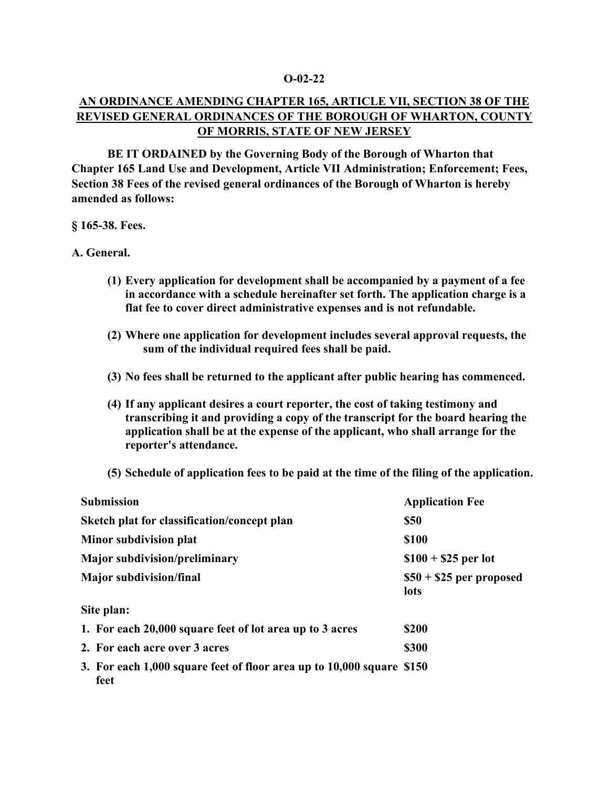### **O-02-22**

# **AN ORDINANCE AMENDING CHAPTER 165, ARTICLE VII, SECTION 38 OF THE REVISED GENERAL ORDINANCES OF THE BOROUGH OF WHARTON, COUNTY OF MORRIS, STATE OF NEW JERSEY**

**BE IT ORDAINED by the Governing Body of the Borough of Wharton that Chapter 165 Land Use and Development, Article VII Administration; Enforcement; Fees, Section 38 Fees of the revised general ordinances of the Borough of Wharton is hereby amended as follows:**

#### **§ 165-38. Fees.**

#### **A. General.**

- **(1) Every application for development shall be accompanied by a payment of a fee in accordance with a schedule hereinafter set forth. The application charge is a flat fee to cover direct administrative expenses and is not refundable.**
- **(2) Where one application for development includes several approval requests, the sum of the individual required fees shall be paid.**
- **(3) No fees shall be returned to the applicant after public hearing has commenced.**
- **(4) If any applicant desires a court reporter, the cost of taking testimony and transcribing it and providing a copy of the transcript for the board hearing the application shall be at the expense of the applicant, who shall arrange for the reporter's attendance.**
- **(5) Schedule of application fees to be paid at the time of the filing of the application.**

| <b>Submission</b>                                                             | <b>Application Fee</b>           |
|-------------------------------------------------------------------------------|----------------------------------|
| Sketch plat for classification/concept plan                                   | <b>\$50</b>                      |
| Minor subdivision plat                                                        | \$100                            |
| <b>Major subdivision/preliminary</b>                                          | $$100 + $25$ per lot             |
| <b>Major subdivision/final</b>                                                | $$50 + $25$ per proposed<br>lots |
| Site plan:                                                                    |                                  |
| 1. For each 20,000 square feet of lot area up to 3 acres                      | \$200                            |
| 2. For each acre over 3 acres                                                 | \$300                            |
| 3. For each 1,000 square feet of floor area up to 10,000 square \$150<br>feet |                                  |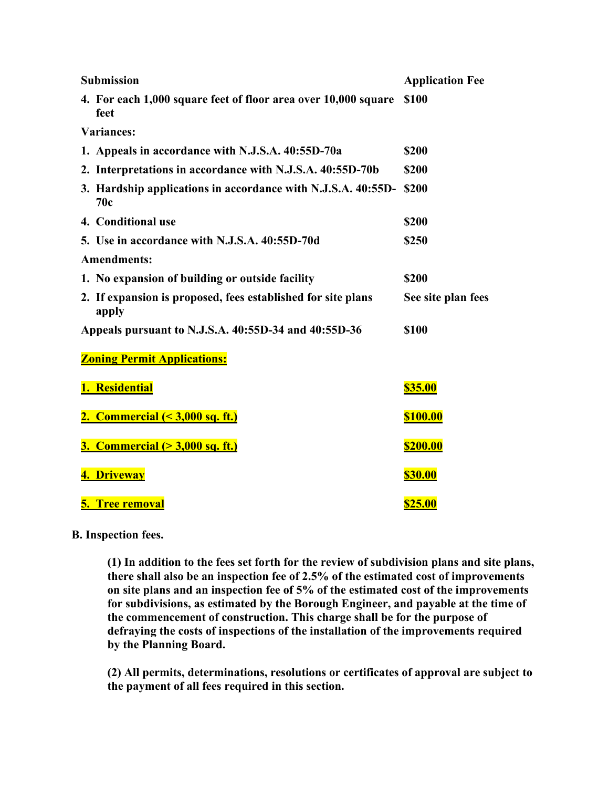| <b>Submission</b>                                                      | <b>Application Fee</b> |
|------------------------------------------------------------------------|------------------------|
| 4. For each 1,000 square feet of floor area over 10,000 square<br>feet | <b>\$100</b>           |
| <b>Variances:</b>                                                      |                        |
| 1. Appeals in accordance with N.J.S.A. 40:55D-70a                      | \$200                  |
| 2. Interpretations in accordance with N.J.S.A. 40:55D-70b              | \$200                  |
| 3. Hardship applications in accordance with N.J.S.A. 40:55D-<br>70c    | \$200                  |
| 4. Conditional use                                                     | \$200                  |
| 5. Use in accordance with N.J.S.A. 40:55D-70d                          | \$250                  |
| <b>Amendments:</b>                                                     |                        |
| 1. No expansion of building or outside facility                        | \$200                  |
| 2. If expansion is proposed, fees established for site plans<br>apply  | See site plan fees     |
| Appeals pursuant to N.J.S.A. 40:55D-34 and 40:55D-36                   | \$100                  |
| <b>Zoning Permit Applications:</b>                                     |                        |
| 1. Residential                                                         | <b>\$35.00</b>         |
| 2. Commercial $(3,000 sq. ft.)$                                        | <b>\$100.00</b>        |
| <b>3. Commercial (&gt; 3,000 sq. ft.)</b>                              | <b>\$200.00</b>        |
| 4. Driveway                                                            | <b>\$30.00</b>         |
| <b>5. Tree removal</b>                                                 | <b>\$25.00</b>         |

## **[B.](https://ecode360.com/print/11907730#11907730) Inspection fees.**

**(1) In addition to the fees set forth for the review of subdivision plans and site plans, there shall also be an inspection fee of 2.5% of the estimated cost of improvements on site plans and an inspection fee of 5% of the estimated cost of the improvements for subdivisions, as estimated by the Borough Engineer, and payable at the time of the commencement of construction. This charge shall be for the purpose of defraying the costs of inspections of the installation of the improvements required by the Planning Board.**

**(2) All permits, determinations, resolutions or certificates of approval are subject to the payment of all fees required in this section.**